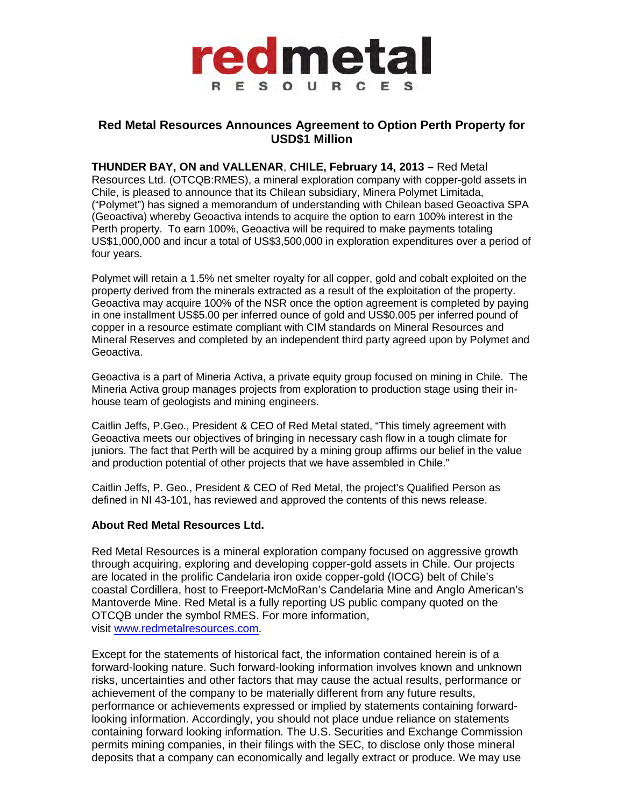

## **Red Metal Resources Announces Agreement to Option Perth Property for USD\$1 Million**

**THUNDER BAY, ON and VALLENAR**, **CHILE, February 14, 2013 –** Red Metal Resources Ltd. (OTCQB:RMES), a mineral exploration company with copper-gold assets in Chile, is pleased to announce that its Chilean subsidiary, Minera Polymet Limitada, ("Polymet") has signed a memorandum of understanding with Chilean based Geoactiva SPA (Geoactiva) whereby Geoactiva intends to acquire the option to earn 100% interest in the Perth property. To earn 100%, Geoactiva will be required to make payments totaling US\$1,000,000 and incur a total of US\$3,500,000 in exploration expenditures over a period of four years.

Polymet will retain a 1.5% net smelter royalty for all copper, gold and cobalt exploited on the property derived from the minerals extracted as a result of the exploitation of the property. Geoactiva may acquire 100% of the NSR once the option agreement is completed by paying in one installment US\$5.00 per inferred ounce of gold and US\$0.005 per inferred pound of copper in a resource estimate compliant with CIM standards on Mineral Resources and Mineral Reserves and completed by an independent third party agreed upon by Polymet and Geoactiva.

Geoactiva is a part of Mineria Activa, a private equity group focused on mining in Chile. The Mineria Activa group manages projects from exploration to production stage using their inhouse team of geologists and mining engineers.

Caitlin Jeffs, P.Geo., President & CEO of Red Metal stated, "This timely agreement with Geoactiva meets our objectives of bringing in necessary cash flow in a tough climate for juniors. The fact that Perth will be acquired by a mining group affirms our belief in the value and production potential of other projects that we have assembled in Chile."

Caitlin Jeffs, P. Geo., President & CEO of Red Metal, the project's Qualified Person as defined in NI 43-101, has reviewed and approved the contents of this news release.

## **About Red Metal Resources Ltd.**

Red Metal Resources is a mineral exploration company focused on aggressive growth through acquiring, exploring and developing copper-gold assets in Chile. Our projects are located in the prolific Candelaria iron oxide copper-gold (IOCG) belt of Chile's coastal Cordillera, host to Freeport-McMoRan's Candelaria Mine and Anglo American's Mantoverde Mine. Red Metal is a fully reporting US public company quoted on the OTCQB under the symbol RMES. For more information, visit [www.redmetalresources.com.](http://www.redmetalresources.com/)

Except for the statements of historical fact, the information contained herein is of a forward-looking nature. Such forward-looking information involves known and unknown risks, uncertainties and other factors that may cause the actual results, performance or achievement of the company to be materially different from any future results, performance or achievements expressed or implied by statements containing forwardlooking information. Accordingly, you should not place undue reliance on statements containing forward looking information. The U.S. Securities and Exchange Commission permits mining companies, in their filings with the SEC, to disclose only those mineral deposits that a company can economically and legally extract or produce. We may use